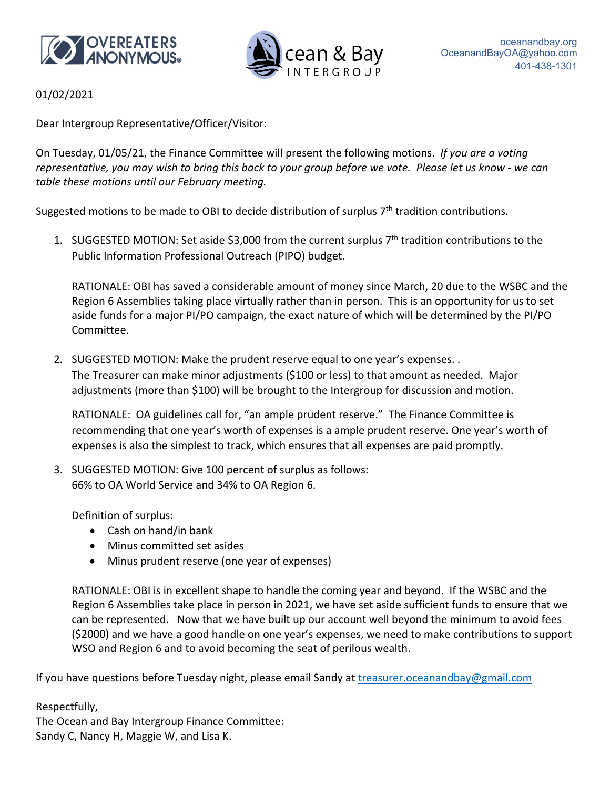



01/02/2021

Dear Intergroup Representative/Officer/Visitor:

On Tuesday, 01/05/21, the Finance Committee will present the following motions. *If you are a voting* representative, you may wish to bring this back to your group before we vote. Please let us know - we can *table these motions until our February meeting.*

Suggested motions to be made to OBI to decide distribution of surplus 7<sup>th</sup> tradition contributions.

1. SUGGESTED MOTION: Set aside \$3,000 from the current surplus 7th tradition contributions to the Public Information Professional Outreach (PIPO) budget.

RATIONALE: OBI has saved a considerable amount of money since March, 20 due to the WSBC and the Region 6 Assemblies taking place virtually rather than in person. This is an opportunity for us to set aside funds for a major PI/PO campaign, the exact nature of which will be determined by the PI/PO Committee.

2. SUGGESTED MOTION: Make the prudent reserve equal to one year's expenses. . The Treasurer can make minor adjustments (\$100 or less) to that amount as needed. Major adjustments (more than \$100) will be brought to the Intergroup for discussion and motion.

RATIONALE: OA guidelines call for, "an ample prudent reserve." The Finance Committee is recommending that one year's worth of expenses is a ample prudent reserve. One year's worth of expenses is also the simplest to track, which ensures that all expenses are paid promptly.

3. SUGGESTED MOTION: Give 100 percent of surplus as follows: 66% to OA World Service and 34% to OA Region 6.

Definition of surplus:

- Cash on hand/in bank
- Minus committed set asides
- Minus prudent reserve (one year of expenses)

RATIONALE: OBI is in excellent shape to handle the coming year and beyond. If the WSBC and the Region 6 Assemblies take place in person in 2021, we have set aside sufficient funds to ensure that we can be represented. Now that we have built up our account well beyond the minimum to avoid fees (\$2000) and we have a good handle on one year's expenses, we need to make contributions to support WSO and Region 6 and to avoid becoming the seat of perilous wealth.

If you have questions before Tuesday night, please email Sandy at *treasurer.oceanandbay@gmail.com* 

Respectfully, The Ocean and Bay Intergroup Finance Committee: Sandy C, Nancy H, Maggie W, and Lisa K.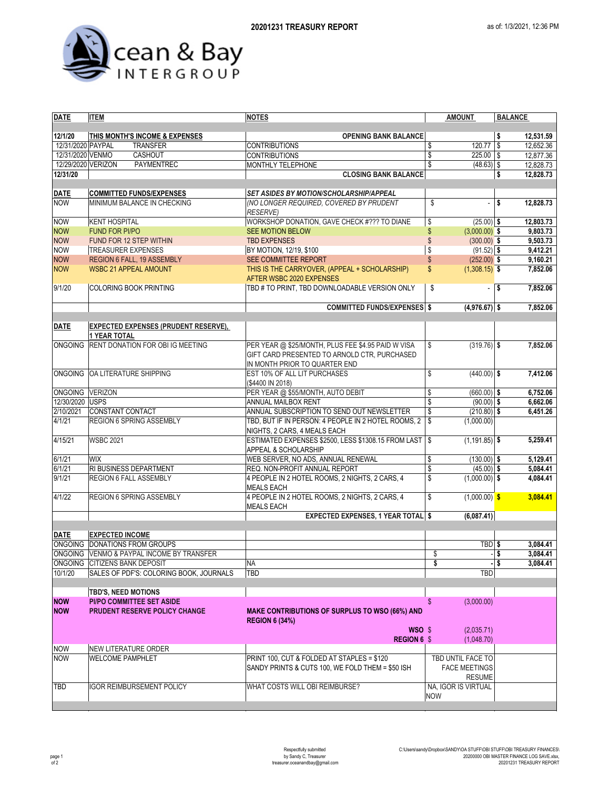



| <b>DATE</b>                  | <b>ITEM</b>                                                        | NOTES                                                                                                                               | <b>AMOUNT</b>                         | <b>BALANCE</b>                     |  |  |
|------------------------------|--------------------------------------------------------------------|-------------------------------------------------------------------------------------------------------------------------------------|---------------------------------------|------------------------------------|--|--|
|                              |                                                                    |                                                                                                                                     |                                       |                                    |  |  |
| 12/1/20<br>12/31/2020 PAYPAL | THIS MONTH'S INCOME & EXPENSES<br><b>TRANSFER</b>                  | <b>OPENING BANK BALANCE</b><br><b>CONTRIBUTIONS</b>                                                                                 | 120.77<br>\$                          | \$<br>12,531.59<br>\$<br>12,652.36 |  |  |
| 12/31/2020 VENMO             | CASHOUT                                                            | <b>CONTRIBUTIONS</b>                                                                                                                | \$<br>$225.00$ \$                     | 12,877.36                          |  |  |
| 12/29/2020 VERIZON           | PAYMENTREC                                                         | <b>MONTHLY TELEPHONE</b>                                                                                                            | \$<br>$(48.63)$ \$                    | 12,828.73                          |  |  |
| 12/31/20                     |                                                                    | <b>CLOSING BANK BALANCE</b>                                                                                                         |                                       | \$<br>12,828.73                    |  |  |
|                              |                                                                    |                                                                                                                                     |                                       |                                    |  |  |
| <b>DATE</b>                  | <b>COMMITTED FUNDS/EXPENSES</b>                                    | SET ASIDES BY MOTION/SCHOLARSHIP/APPEAL                                                                                             |                                       |                                    |  |  |
| <b>NOW</b>                   | MINIMUM BALANCE IN CHECKING                                        | (NO LONGER REQUIRED, COVERED BY PRUDENT                                                                                             | \$<br>÷,                              | \$<br>12,828.73                    |  |  |
|                              |                                                                    | <b>RESERVE)</b>                                                                                                                     |                                       |                                    |  |  |
| <b>NOW</b>                   | <b>KENT HOSPITAL</b>                                               | WORKSHOP DONATION, GAVE CHECK #??? TO DIANE                                                                                         | \$<br>$(25.00)$ \$                    | 12,803.73                          |  |  |
| <b>NOW</b>                   | <b>FUND FOR PI/PO</b>                                              | <b>SEE MOTION BELOW</b>                                                                                                             | \$<br>$(3,000.00)$ \$                 | 9,803.73                           |  |  |
| <b>NOW</b>                   | FUND FOR 12 STEP WITHIN                                            | <b>TBD EXPENSES</b>                                                                                                                 | \$<br>$(300.00)$ \$                   | 9,503.73                           |  |  |
| <b>NOW</b>                   | <b>TREASURER EXPENSES</b>                                          | BY MOTION, 12/19, \$100                                                                                                             | \$<br>$(91.52)$ \$                    | 9,412.21                           |  |  |
| <b>NOW</b>                   | REGION 6 FALL, 19 ASSEMBLY                                         | SEE COMMITTEE REPORT                                                                                                                | $\mathsf{\$}$<br>$(252.00)$ \$        | 9,160.21                           |  |  |
| <b>NOW</b>                   | <b>WSBC 21 APPEAL AMOUNT</b>                                       | THIS IS THE CARRYOVER, (APPEAL + SCHOLARSHIP)<br>AFTER WSBC 2020 EXPENSES                                                           | \$<br>$(1,308.15)$ \$                 | 7,852.06                           |  |  |
| 9/1/20                       | <b>COLORING BOOK PRINTING</b>                                      | TBD # TO PRINT, TBD DOWNLOADABLE VERSION ONLY                                                                                       | \$                                    | \$<br>7,852.06                     |  |  |
|                              |                                                                    | <b>COMMITTED FUNDS/EXPENSES \$</b>                                                                                                  | $(4,976.67)$ \$                       | 7.852.06                           |  |  |
| <b>DATE</b>                  | <b>EXPECTED EXPENSES (PRUDENT RESERVE),</b><br><b>1 YEAR TOTAL</b> |                                                                                                                                     |                                       |                                    |  |  |
| <b>ONGOING</b>               | RENT DONATION FOR OBI IG MEETING                                   | PER YEAR @ \$25/MONTH, PLUS FEE \$4.95 PAID W VISA<br>GIFT CARD PRESENTED TO ARNOLD CTR, PURCHASED<br>IN MONTH PRIOR TO QUARTER END | \$<br>$(319.76)$ \$                   | 7,852.06                           |  |  |
|                              | ONGOING OA LITERATURE SHIPPING                                     | EST 10% OF ALL LIT PURCHASES<br>(\$4400 IN 2018)                                                                                    | \$<br>$(440.00)$ \$                   | 7,412.06                           |  |  |
| ONGOING VERIZON              |                                                                    | PER YEAR @ \$55/MONTH, AUTO DEBIT                                                                                                   | \$<br>$(660.00)$ \$                   | 6,752.06                           |  |  |
| 12/30/2020 USPS              |                                                                    | ANNUAL MAILBOX RENT                                                                                                                 | \$<br>$(90.00)$ \$                    | 6,662.06                           |  |  |
| 2/10/2021                    | CONSTANT CONTACT                                                   | ANNUAL SUBSCRIPTION TO SEND OUT NEWSLETTER                                                                                          | \$<br>$(210.80)$ \$                   | 6,451.26                           |  |  |
| 4/1/21                       | REGION 6 SPRING ASSEMBLY                                           | TBD, BUT IF IN PERSON: 4 PEOPLE IN 2 HOTEL ROOMS, 2<br>NIGHTS, 2 CARS, 4 MEALS EACH                                                 | \$<br>(1,000.00)                      |                                    |  |  |
| 4/15/21                      | <b>WSBC 2021</b>                                                   | ESTIMATED EXPENSES \$2500, LESS \$1308.15 FROM LAST<br>APPEAL & SCHOLARSHIP                                                         | \$<br>$(1, 191.85)$ \$                | 5,259.41                           |  |  |
| 6/1/21                       | <b>WIX</b>                                                         | WEB SERVER, NO ADS, ANNUAL RENEWAL                                                                                                  | \$<br>$(130.00)$ \$                   | 5,129.41                           |  |  |
| 6/1/21                       | RI BUSINESS DEPARTMENT                                             | REQ. NON-PROFIT ANNUAL REPORT                                                                                                       | \$<br>$(45.00)$ \$                    | 5,084.41                           |  |  |
| 9/1/21                       | REGION 6 FALL ASSEMBLY                                             | 4 PEOPLE IN 2 HOTEL ROOMS, 2 NIGHTS, 2 CARS, 4<br><b>MEALS EACH</b>                                                                 | \$<br>$(1,000.00)$ \$                 | 4,084.41                           |  |  |
| 4/1/22                       | REGION 6 SPRING ASSEMBLY                                           | 4 PEOPLE IN 2 HOTEL ROOMS, 2 NIGHTS, 2 CARS, 4<br><b>MEALS EACH</b>                                                                 | \$<br>$(1,000.00)$ \$                 | 3,084.41                           |  |  |
|                              |                                                                    | <b>EXPECTED EXPENSES, 1 YEAR TOTAL \$</b>                                                                                           | (6,087.41)                            |                                    |  |  |
| <b>DATE</b>                  | <b>EXPECTED INCOME</b>                                             |                                                                                                                                     |                                       |                                    |  |  |
|                              | ONGOING DONATIONS FROM GROUPS                                      |                                                                                                                                     | TBD \$                                | 3,084.41                           |  |  |
|                              | ONGOING VENMO & PAYPAL INCOME BY TRANSFER                          |                                                                                                                                     | \$                                    | \$<br>3,084.41                     |  |  |
|                              | ONGOING CITIZENS BANK DEPOSIT                                      | ΝA                                                                                                                                  | \$                                    | 3,084.41<br>\$                     |  |  |
| 10/1/20                      | SALES OF PDF'S: COLORING BOOK, JOURNALS                            | TBD                                                                                                                                 | TBD                                   |                                    |  |  |
|                              | <b>TBD'S, NEED MOTIONS</b>                                         |                                                                                                                                     |                                       |                                    |  |  |
| <b>NOW</b>                   | <b>PI/PO COMMITTEE SET ASIDE</b>                                   |                                                                                                                                     | (3,000.00)<br>\$                      |                                    |  |  |
| <b>NOW</b>                   | PRUDENT RESERVE POLICY CHANGE                                      | <b>MAKE CONTRIBUTIONS OF SURPLUS TO WSO (66%) AND</b><br><b>REGION 6 (34%)</b>                                                      |                                       |                                    |  |  |
|                              |                                                                    | WSO \$<br>REGION 6 \$                                                                                                               | (2,035.71)<br>(1,048.70)              |                                    |  |  |
| <b>NOW</b>                   | <b>NEW LITERATURE ORDER</b>                                        |                                                                                                                                     |                                       |                                    |  |  |
| <b>NOW</b>                   | <b>WELCOME PAMPHLET</b>                                            | PRINT 100, CUT & FOLDED AT STAPLES = \$120                                                                                          | TBD UNTIL FACE TO                     |                                    |  |  |
|                              |                                                                    | SANDY PRINTS & CUTS 100, WE FOLD THEM = \$50 ISH                                                                                    | <b>FACE MEETINGS</b><br><b>RESUME</b> |                                    |  |  |
| TBD                          | <b>IGOR REIMBURSEMENT POLICY</b>                                   | WHAT COSTS WILL OBI REIMBURSE?                                                                                                      | NA, IGOR IS VIRTUAL<br><b>NOW</b>     |                                    |  |  |
|                              |                                                                    |                                                                                                                                     |                                       |                                    |  |  |